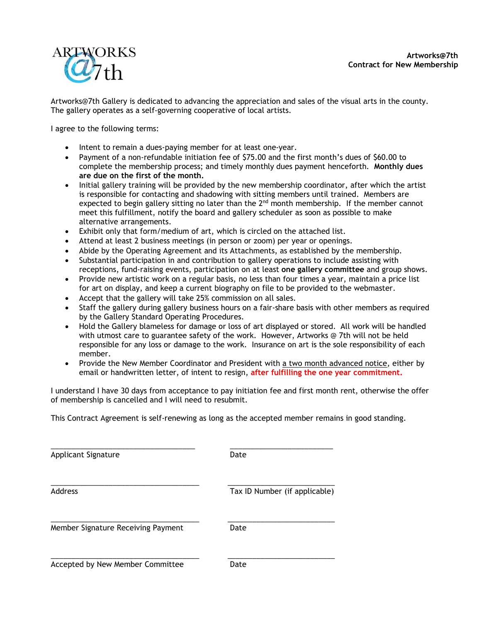

[Artworks@7th](mailto:Artworks@7th) Gallery is dedicated to advancing the appreciation and sales of the visual arts in the county. The gallery operates as a self-governing cooperative of local artists.

I agree to the following terms:

- Intent to remain a dues-paying member for at least one-year.
- Payment of a non-refundable initiation fee of \$75.00 and the first month's dues of \$60.00 to complete the membership process; and timely monthly dues payment henceforth. **Monthly dues are due on the first of the month.**
- Initial gallery training will be provided by the new membership coordinator, after which the artist is responsible for contacting and shadowing with sitting members until trained. Members are expected to begin gallery sitting no later than the  $2^{nd}$  month membership. If the member cannot meet this fulfillment, notify the board and gallery scheduler as soon as possible to make alternative arrangements.
- Exhibit only that form/medium of art, which is circled on the attached list.
- Attend at least 2 business meetings (in person or zoom) per year or openings.
- Abide by the Operating Agreement and its Attachments, as established by the membership.
- Substantial participation in and contribution to gallery operations to include assisting with receptions, fund-raising events, participation on at least **one gallery committee** and group shows.
- Provide new artistic work on a regular basis, no less than four times a year, maintain a price list for art on display, and keep a current biography on file to be provided to the webmaster.
- Accept that the gallery will take 25% commission on all sales.
- Staff the gallery during gallery business hours on a fair-share basis with other members as required by the Gallery Standard Operating Procedures.
- Hold the Gallery blameless for damage or loss of art displayed or stored. All work will be handled with utmost care to guarantee safety of the work. However, Artworks @ 7th will not be held responsible for any loss or damage to the work. Insurance on art is the sole responsibility of each member.
- Provide the New Member Coordinator and President with a two month advanced notice, either by email or handwritten letter, of intent to resign, **after fulfilling the one year commitment.**

I understand I have 30 days from acceptance to pay initiation fee and first month rent, otherwise the offer of membership is cancelled and I will need to resubmit.

This Contract Agreement is self-renewing as long as the accepted member remains in good standing.

| <b>Applicant Signature</b>         | Date                          |
|------------------------------------|-------------------------------|
| Address                            | Tax ID Number (if applicable) |
| Member Signature Receiving Payment | Date                          |
| Accepted by New Member Committee   | Date                          |